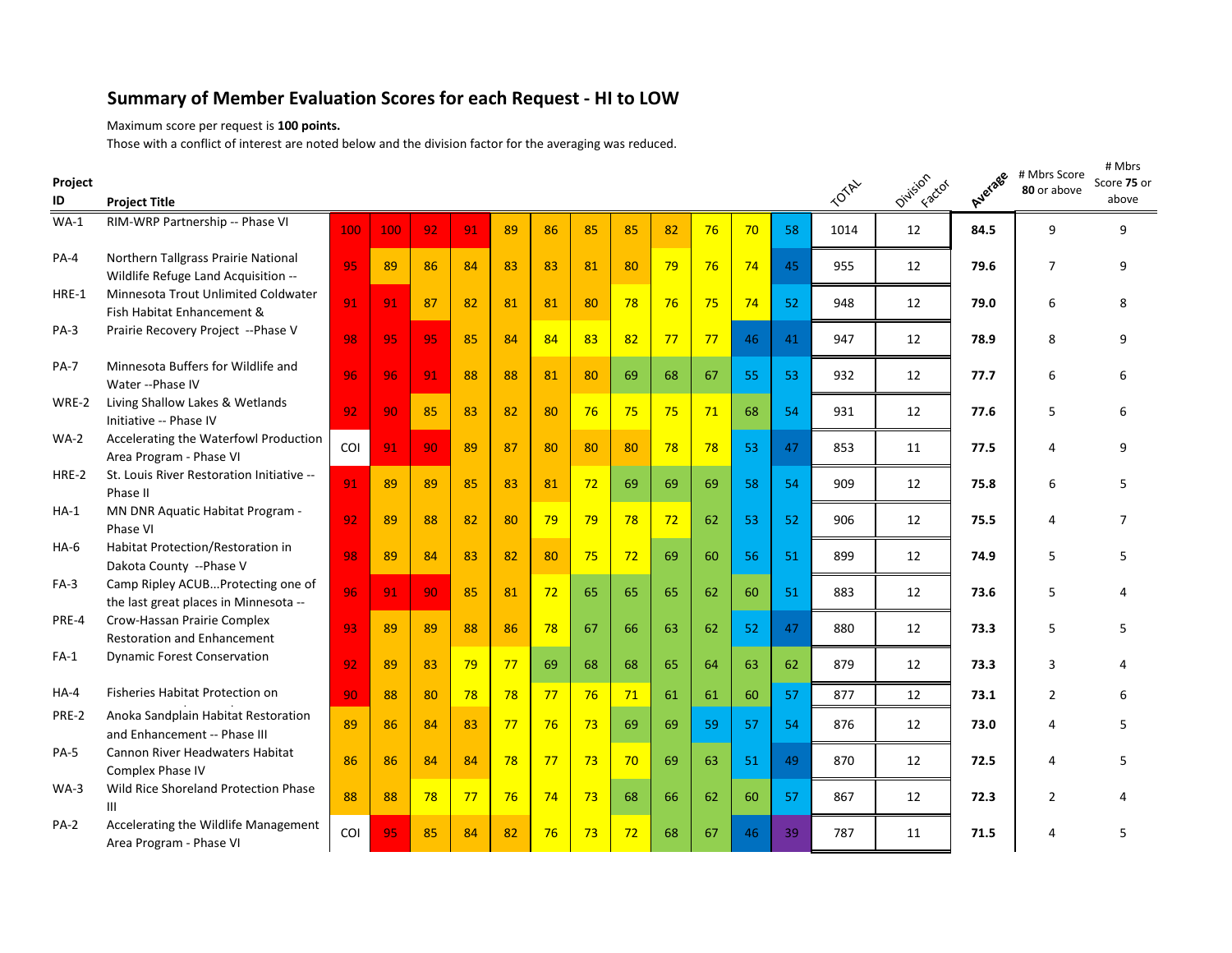## **Summary of Member Evaluation Scores for each Request - HI to LOW**

Maximum score per request is **100 points.**

Those with a conflict of interest are noted below and the division factor for the averaging was reduced.

| Project<br>ID | <b>Project Title</b>                                                       |     |     |    |    |    |    |    |    |    |    |    |    | <b>TOTAL</b> | Oivision<br>Factor | Average | # Mbrs Score<br>80 or above | # Mbrs<br>Score 75 or<br>above |
|---------------|----------------------------------------------------------------------------|-----|-----|----|----|----|----|----|----|----|----|----|----|--------------|--------------------|---------|-----------------------------|--------------------------------|
| $WA-1$        | RIM-WRP Partnership -- Phase VI                                            | 100 | 100 | 92 | 91 | 89 | 86 | 85 | 85 | 82 | 76 | 70 | 58 | 1014         | 12                 | 84.5    | 9                           | 9                              |
| PA-4          | Northern Tallgrass Prairie National<br>Wildlife Refuge Land Acquisition -- | 95  | 89  | 86 | 84 | 83 | 83 | 81 | 80 | 79 | 76 | 74 | 45 | 955          | 12                 | 79.6    | $\overline{7}$              | 9                              |
| HRE-1         | Minnesota Trout Unlimited Coldwater<br>Fish Habitat Enhancement &          | 91  | 91  | 87 | 82 | 81 | 81 | 80 | 78 | 76 | 75 | 74 | 52 | 948          | 12                 | 79.0    | 6                           | 8                              |
| $PA-3$        | Prairie Recovery Project -- Phase V                                        | 98  | 95  | 95 | 85 | 84 | 84 | 83 | 82 | 77 | 77 | 46 | 41 | 947          | 12                 | 78.9    | 8                           | 9                              |
| <b>PA-7</b>   | Minnesota Buffers for Wildlife and<br>Water -- Phase IV                    | 96  | 96  | 91 | 88 | 88 | 81 | 80 | 69 | 68 | 67 | 55 | 53 | 932          | 12                 | 77.7    | 6                           | 6                              |
| WRE-2         | Living Shallow Lakes & Wetlands<br>Initiative -- Phase IV                  | 92  | 90  | 85 | 83 | 82 | 80 | 76 | 75 | 75 | 71 | 68 | 54 | 931          | 12                 | 77.6    | 5                           | 6                              |
| $WA-2$        | Accelerating the Waterfowl Production<br>Area Program - Phase VI           | COI | 91  | 90 | 89 | 87 | 80 | 80 | 80 | 78 | 78 | 53 | 47 | 853          | 11                 | 77.5    | 4                           | 9                              |
| HRE-2         | St. Louis River Restoration Initiative --<br>Phase II                      | 91  | 89  | 89 | 85 | 83 | 81 | 72 | 69 | 69 | 69 | 58 | 54 | 909          | 12                 | 75.8    | 6                           | 5                              |
| $HA-1$        | MN DNR Aquatic Habitat Program -<br>Phase VI                               | 92  | 89  | 88 | 82 | 80 | 79 | 79 | 78 | 72 | 62 | 53 | 52 | 906          | 12                 | 75.5    | 4                           | $\overline{7}$                 |
| $HA-6$        | Habitat Protection/Restoration in<br>Dakota County -- Phase V              | 98  | 89  | 84 | 83 | 82 | 80 | 75 | 72 | 69 | 60 | 56 | 51 | 899          | 12                 | 74.9    | 5                           | 5                              |
| FA-3          | Camp Ripley ACUBProtecting one of<br>the last great places in Minnesota -- | 96  | 91  | 90 | 85 | 81 | 72 | 65 | 65 | 65 | 62 | 60 | 51 | 883          | 12                 | 73.6    | 5                           | 4                              |
| PRE-4         | Crow-Hassan Prairie Complex<br><b>Restoration and Enhancement</b>          | 93  | 89  | 89 | 88 | 86 | 78 | 67 | 66 | 63 | 62 | 52 | 47 | 880          | 12                 | 73.3    | 5                           | 5                              |
| $FA-1$        | <b>Dynamic Forest Conservation</b>                                         | 92  | 89  | 83 | 79 | 77 | 69 | 68 | 68 | 65 | 64 | 63 | 62 | 879          | 12                 | 73.3    | 3                           | Δ                              |
| $HA-4$        | Fisheries Habitat Protection on                                            | 90  | 88  | 80 | 78 | 78 | 77 | 76 | 71 | 61 | 61 | 60 | 57 | 877          | 12                 | 73.1    | $\overline{2}$              | 6                              |
| PRE-2         | Anoka Sandplain Habitat Restoration<br>and Enhancement -- Phase III        | 89  | 86  | 84 | 83 | 77 | 76 | 73 | 69 | 69 | 59 | 57 | 54 | 876          | 12                 | 73.0    | 4                           | 5                              |
| <b>PA-5</b>   | Cannon River Headwaters Habitat<br><b>Complex Phase IV</b>                 | 86  | 86  | 84 | 84 | 78 | 77 | 73 | 70 | 69 | 63 | 51 | 49 | 870          | 12                 | 72.5    | 4                           | 5                              |
| $WA-3$        | Wild Rice Shoreland Protection Phase<br>III                                | 88  | 88  | 78 | 77 | 76 | 74 | 73 | 68 | 66 | 62 | 60 | 57 | 867          | 12                 | 72.3    | $\overline{2}$              | 4                              |
| $PA-2$        | Accelerating the Wildlife Management<br>Area Program - Phase VI            | COI | 95  | 85 | 84 | 82 | 76 | 73 | 72 | 68 | 67 | 46 | 39 | 787          | 11                 | 71.5    | $\overline{a}$              | 5                              |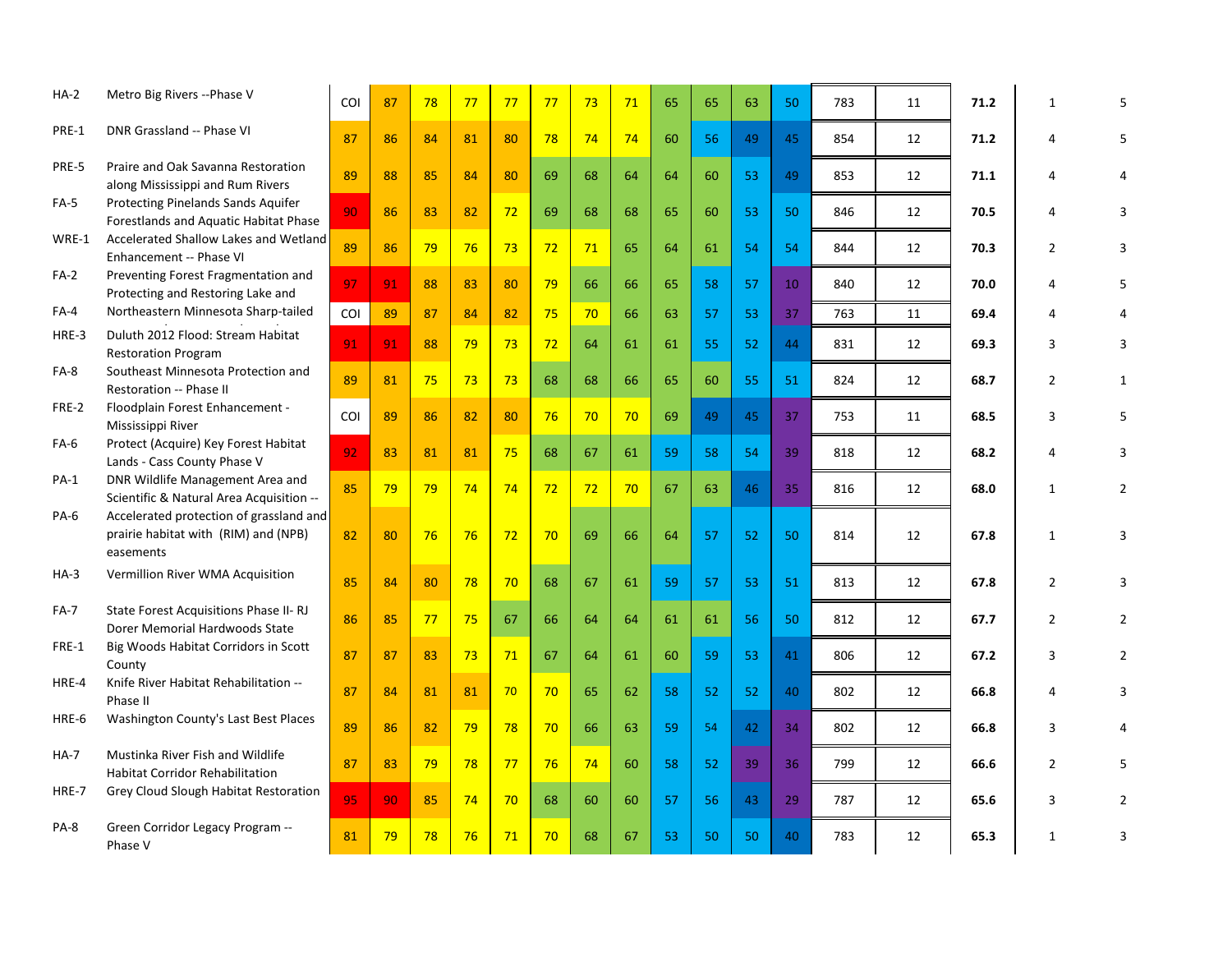| $HA-2$      | Metro Big Rivers -- Phase V                                                                  | COL | 87 | 78 | 77 | 77 | 77 | 73 | 71 | 65 | 65 | 63 | 50 | 783 | 11 | 71.2 | 1              |                |
|-------------|----------------------------------------------------------------------------------------------|-----|----|----|----|----|----|----|----|----|----|----|----|-----|----|------|----------------|----------------|
| PRE-1       | DNR Grassland -- Phase VI                                                                    | 87  | 86 | 84 | 81 | 80 | 78 | 74 | 74 | 60 | 56 | 49 | 45 | 854 | 12 | 71.2 | 4              | 5.             |
| PRE-5       | Praire and Oak Savanna Restoration<br>along Mississippi and Rum Rivers                       | 89  | 88 | 85 | 84 | 80 | 69 | 68 | 64 | 64 | 60 | 53 | 49 | 853 | 12 | 71.1 | 4              | Δ              |
| $FA-5$      | Protecting Pinelands Sands Aquifer<br>Forestlands and Aquatic Habitat Phase                  | 90  | 86 | 83 | 82 | 72 | 69 | 68 | 68 | 65 | 60 | 53 | 50 | 846 | 12 | 70.5 | 4              | 3              |
| WRE-1       | Accelerated Shallow Lakes and Wetland<br>Enhancement -- Phase VI                             | 89  | 86 | 79 | 76 | 73 | 72 | 71 | 65 | 64 | 61 | 54 | 54 | 844 | 12 | 70.3 | $\overline{2}$ | 3              |
| $FA-2$      | Preventing Forest Fragmentation and<br>Protecting and Restoring Lake and                     | 97  | 91 | 88 | 83 | 80 | 79 | 66 | 66 | 65 | 58 | 57 | 10 | 840 | 12 | 70.0 | 4              | 5              |
| FA-4        | Northeastern Minnesota Sharp-tailed                                                          | COI | 89 | 87 | 84 | 82 | 75 | 70 | 66 | 63 | 57 | 53 | 37 | 763 | 11 | 69.4 | 4              |                |
| HRE-3       | Duluth 2012 Flood: Stream Habitat<br><b>Restoration Program</b>                              | 91  | 91 | 88 | 79 | 73 | 72 | 64 | 61 | 61 | 55 | 52 | 44 | 831 | 12 | 69.3 | 3              | 3              |
| $FA-8$      | Southeast Minnesota Protection and<br>Restoration -- Phase II                                | 89  | 81 | 75 | 73 | 73 | 68 | 68 | 66 | 65 | 60 | 55 | 51 | 824 | 12 | 68.7 | $\overline{2}$ | 1              |
| FRE-2       | Floodplain Forest Enhancement -<br>Mississippi River                                         | COI | 89 | 86 | 82 | 80 | 76 | 70 | 70 | 69 | 49 | 45 | 37 | 753 | 11 | 68.5 | 3              | 5              |
| FA-6        | Protect (Acquire) Key Forest Habitat<br>Lands - Cass County Phase V                          | 92  | 83 | 81 | 81 | 75 | 68 | 67 | 61 | 59 | 58 | 54 | 39 | 818 | 12 | 68.2 | 4              | 3              |
| PA-1        | DNR Wildlife Management Area and<br>Scientific & Natural Area Acquisition --                 | 85  | 79 | 79 | 74 | 74 | 72 | 72 | 70 | 67 | 63 | 46 | 35 | 816 | 12 | 68.0 | $\mathbf{1}$   | $\overline{2}$ |
| PA-6        | Accelerated protection of grassland and<br>prairie habitat with (RIM) and (NPB)<br>easements | 82  | 80 | 76 | 76 | 72 | 70 | 69 | 66 | 64 | 57 | 52 | 50 | 814 | 12 | 67.8 | $\mathbf{1}$   | 3              |
| $HA-3$      | Vermillion River WMA Acquisition                                                             | 85  | 84 | 80 | 78 | 70 | 68 | 67 | 61 | 59 | 57 | 53 | 51 | 813 | 12 | 67.8 | $\overline{2}$ | 3              |
| <b>FA-7</b> | State Forest Acquisitions Phase II-RJ<br>Dorer Memorial Hardwoods State                      | 86  | 85 | 77 | 75 | 67 | 66 | 64 | 64 | 61 | 61 | 56 | 50 | 812 | 12 | 67.7 | $\overline{2}$ | $\overline{2}$ |
| FRE-1       | Big Woods Habitat Corridors in Scott<br>County                                               | 87  | 87 | 83 | 73 | 71 | 67 | 64 | 61 | 60 | 59 | 53 | 41 | 806 | 12 | 67.2 | 3              | $\overline{2}$ |
| HRE-4       | Knife River Habitat Rehabilitation --<br>Phase II                                            | 87  | 84 | 81 | 81 | 70 | 70 | 65 | 62 | 58 | 52 | 52 | 40 | 802 | 12 | 66.8 | 4              | 3              |
| HRE-6       | Washington County's Last Best Places                                                         | 89  | 86 | 82 | 79 | 78 | 70 | 66 | 63 | 59 | 54 | 42 | 34 | 802 | 12 | 66.8 | 3              | 4              |
| <b>HA-7</b> | Mustinka River Fish and Wildlife<br><b>Habitat Corridor Rehabilitation</b>                   | 87  | 83 | 79 | 78 | 77 | 76 | 74 | 60 | 58 | 52 | 39 | 36 | 799 | 12 | 66.6 | $\overline{2}$ | 5              |
| HRE-7       | Grey Cloud Slough Habitat Restoration                                                        | 95  | 90 | 85 | 74 | 70 | 68 | 60 | 60 | 57 | 56 | 43 | 29 | 787 | 12 | 65.6 | 3              | $\overline{2}$ |
| PA-8        | Green Corridor Legacy Program --<br>Phase V                                                  | 81  | 79 | 78 | 76 | 71 | 70 | 68 | 67 | 53 | 50 | 50 | 40 | 783 | 12 | 65.3 | 1              | 3              |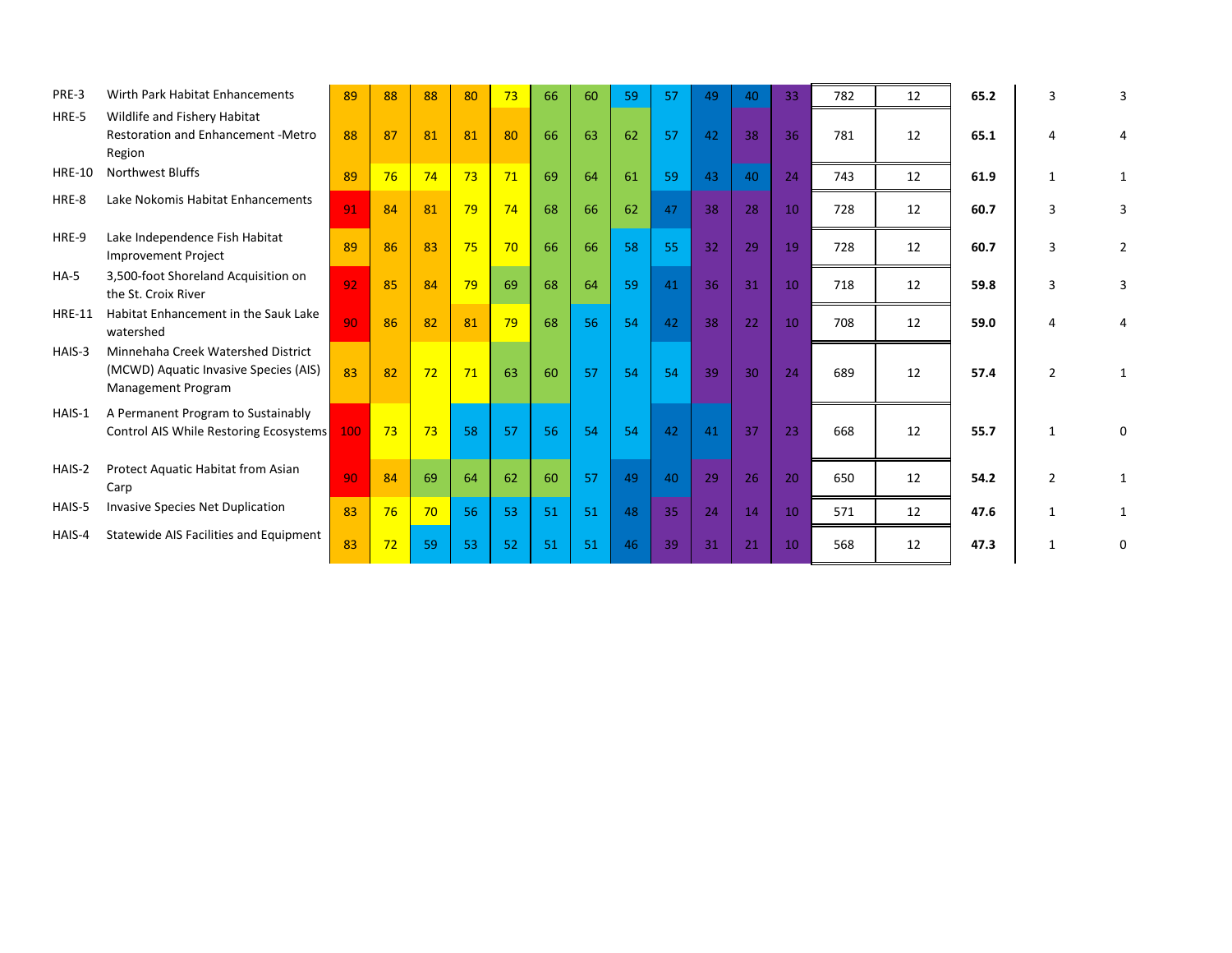| PRE-3         | Wirth Park Habitat Enhancements                                                                          | 89  | 88 | 88 | 80 | 73 | 66 | 60 | 59 | 57 | 49 | 40 | 33 | 782 | 12 | 65.2 | З             | 3              |
|---------------|----------------------------------------------------------------------------------------------------------|-----|----|----|----|----|----|----|----|----|----|----|----|-----|----|------|---------------|----------------|
| HRE-5         | Wildlife and Fishery Habitat<br><b>Restoration and Enhancement -Metro</b><br>Region                      | 88  | 87 | 81 | 81 | 80 | 66 | 63 | 62 | 57 | 42 | 38 | 36 | 781 | 12 | 65.1 | Δ             |                |
| <b>HRE-10</b> | Northwest Bluffs                                                                                         | 89  | 76 | 74 | 73 | 71 | 69 | 64 | 61 | 59 | 43 | 40 | 24 | 743 | 12 | 61.9 | 1             |                |
| HRE-8         | Lake Nokomis Habitat Enhancements                                                                        | 91  | 84 | 81 | 79 | 74 | 68 | 66 | 62 | 47 | 38 | 28 | 10 | 728 | 12 | 60.7 | 3             | 3              |
| HRE-9         | Lake Independence Fish Habitat<br><b>Improvement Project</b>                                             | 89  | 86 | 83 | 75 | 70 | 66 | 66 | 58 | 55 | 32 | 29 | 19 | 728 | 12 | 60.7 | 3             | $\overline{2}$ |
| $HA-5$        | 3,500-foot Shoreland Acquisition on<br>the St. Croix River                                               | 92  | 85 | 84 | 79 | 69 | 68 | 64 | 59 | 41 | 36 | 31 | 10 | 718 | 12 | 59.8 | 3             | 3              |
| <b>HRE-11</b> | Habitat Enhancement in the Sauk Lake<br>watershed                                                        | 90  | 86 | 82 | 81 | 79 | 68 | 56 | 54 | 42 | 38 | 22 | 10 | 708 | 12 | 59.0 |               |                |
| HAIS-3        | Minnehaha Creek Watershed District<br>(MCWD) Aquatic Invasive Species (AIS)<br><b>Management Program</b> | 83  | 82 | 72 | 71 | 63 | 60 | 57 | 54 | 54 | 39 | 30 | 24 | 689 | 12 | 57.4 | $\mathcal{P}$ |                |
| HAIS-1        | A Permanent Program to Sustainably<br>Control AIS While Restoring Ecosystems                             | 100 | 73 | 73 | 58 | 57 | 56 | 54 | 54 | 42 | 41 | 37 | 23 | 668 | 12 | 55.7 | $\mathbf 1$   | 0              |
| HAIS-2        | Protect Aquatic Habitat from Asian<br>Carp                                                               | 90  | 84 | 69 | 64 | 62 | 60 | 57 | 49 | 40 | 29 | 26 | 20 | 650 | 12 | 54.2 | 2             |                |
| HAIS-5        | Invasive Species Net Duplication                                                                         | 83  | 76 | 70 | 56 | 53 | 51 | 51 | 48 | 35 | 24 | 14 | 10 | 571 | 12 | 47.6 | $\mathbf{1}$  |                |
| HAIS-4        | Statewide AIS Facilities and Equipment                                                                   | 83  | 72 | 59 | 53 | 52 | 51 | 51 | 46 | 39 | 31 | 21 | 10 | 568 | 12 | 47.3 |               | 0              |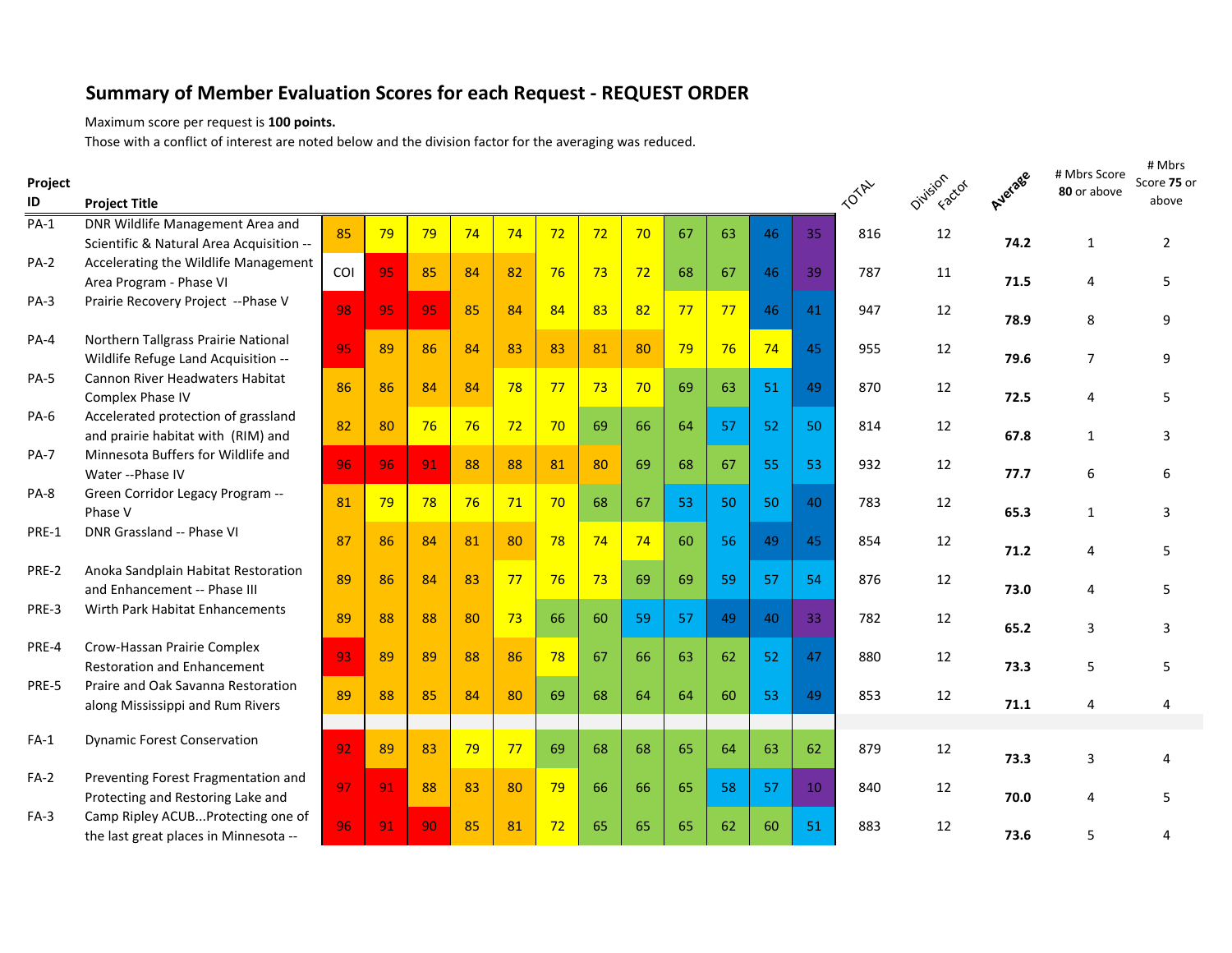## **Summary of Member Evaluation Scores for each Request - REQUEST ORDER**

Maximum score per request is **100 points.**

Those with a conflict of interest are noted below and the division factor for the averaging was reduced.

| Project<br>ID | <b>Project Title</b>                                                         |     |    |    |    |    |    |    |    |    |    |    |                 | <b>TOTAL</b> | Oivision car | Average | # Mbrs Score<br>80 or above | # Mbrs<br>Score 75 or<br>above |
|---------------|------------------------------------------------------------------------------|-----|----|----|----|----|----|----|----|----|----|----|-----------------|--------------|--------------|---------|-----------------------------|--------------------------------|
| $PA-1$        | DNR Wildlife Management Area and<br>Scientific & Natural Area Acquisition -- | 85  | 79 | 79 | 74 | 74 | 72 | 72 | 70 | 67 | 63 | 46 | 35              | 816          | 12           | 74.2    | $\mathbf{1}$                | $\overline{2}$                 |
| $PA-2$        | Accelerating the Wildlife Management<br>Area Program - Phase VI              | COI | 95 | 85 | 84 | 82 | 76 | 73 | 72 | 68 | 67 | 46 | 39              | 787          | 11           | 71.5    | 4                           | 5                              |
| $PA-3$        | Prairie Recovery Project -- Phase V                                          | 98  | 95 | 95 | 85 | 84 | 84 | 83 | 82 | 77 | 77 | 46 | 41              | 947          | 12           | 78.9    | 8                           | 9                              |
| $PA-4$        | Northern Tallgrass Prairie National<br>Wildlife Refuge Land Acquisition --   | 95  | 89 | 86 | 84 | 83 | 83 | 81 | 80 | 79 | 76 | 74 | 45              | 955          | 12           | 79.6    | $\overline{7}$              | 9                              |
| $PA-5$        | <b>Cannon River Headwaters Habitat</b><br>Complex Phase IV                   | 86  | 86 | 84 | 84 | 78 | 77 | 73 | 70 | 69 | 63 | 51 | 49              | 870          | 12           | 72.5    | 4                           | 5                              |
| PA-6          | Accelerated protection of grassland<br>and prairie habitat with (RIM) and    | 82  | 80 | 76 | 76 | 72 | 70 | 69 | 66 | 64 | 57 | 52 | 50              | 814          | 12           | 67.8    | $\mathbf{1}$                | 3                              |
| <b>PA-7</b>   | Minnesota Buffers for Wildlife and<br>Water -- Phase IV                      | 96  | 96 | 91 | 88 | 88 | 81 | 80 | 69 | 68 | 67 | 55 | 53              | 932          | 12           | 77.7    | 6                           | 6                              |
| PA-8          | Green Corridor Legacy Program --<br>Phase V                                  | 81  | 79 | 78 | 76 | 71 | 70 | 68 | 67 | 53 | 50 | 50 | 40              | 783          | 12           | 65.3    | $\mathbf{1}$                | 3                              |
| PRE-1         | DNR Grassland -- Phase VI                                                    | 87  | 86 | 84 | 81 | 80 | 78 | 74 | 74 | 60 | 56 | 49 | 45              | 854          | 12           | 71.2    | 4                           | 5                              |
| PRE-2         | Anoka Sandplain Habitat Restoration<br>and Enhancement -- Phase III          | 89  | 86 | 84 | 83 | 77 | 76 | 73 | 69 | 69 | 59 | 57 | 54              | 876          | 12           | 73.0    | 4                           | 5                              |
| PRE-3         | Wirth Park Habitat Enhancements                                              | 89  | 88 | 88 | 80 | 73 | 66 | 60 | 59 | 57 | 49 | 40 | 33              | 782          | 12           | 65.2    | 3                           | 3                              |
| PRE-4         | Crow-Hassan Prairie Complex<br><b>Restoration and Enhancement</b>            | 93  | 89 | 89 | 88 | 86 | 78 | 67 | 66 | 63 | 62 | 52 | 47              | 880          | 12           | 73.3    | 5                           | 5                              |
| PRE-5         | Praire and Oak Savanna Restoration<br>along Mississippi and Rum Rivers       | 89  | 88 | 85 | 84 | 80 | 69 | 68 | 64 | 64 | 60 | 53 | 49              | 853          | 12           | 71.1    | 4                           |                                |
| $FA-1$        | <b>Dynamic Forest Conservation</b>                                           | 92  | 89 | 83 | 79 | 77 | 69 | 68 | 68 | 65 | 64 | 63 | 62              | 879          | 12           | 73.3    | 3                           | Δ                              |
| $FA-2$        | Preventing Forest Fragmentation and<br>Protecting and Restoring Lake and     | 97  | 91 | 88 | 83 | 80 | 79 | 66 | 66 | 65 | 58 | 57 | 10 <sup>°</sup> | 840          | 12           | 70.0    | 4                           | 5                              |
| $FA-3$        | Camp Ripley ACUBProtecting one of<br>the last great places in Minnesota --   | 96  | 91 | 90 | 85 | 81 | 72 | 65 | 65 | 65 | 62 | 60 | 51              | 883          | 12           | 73.6    | 5                           | 4                              |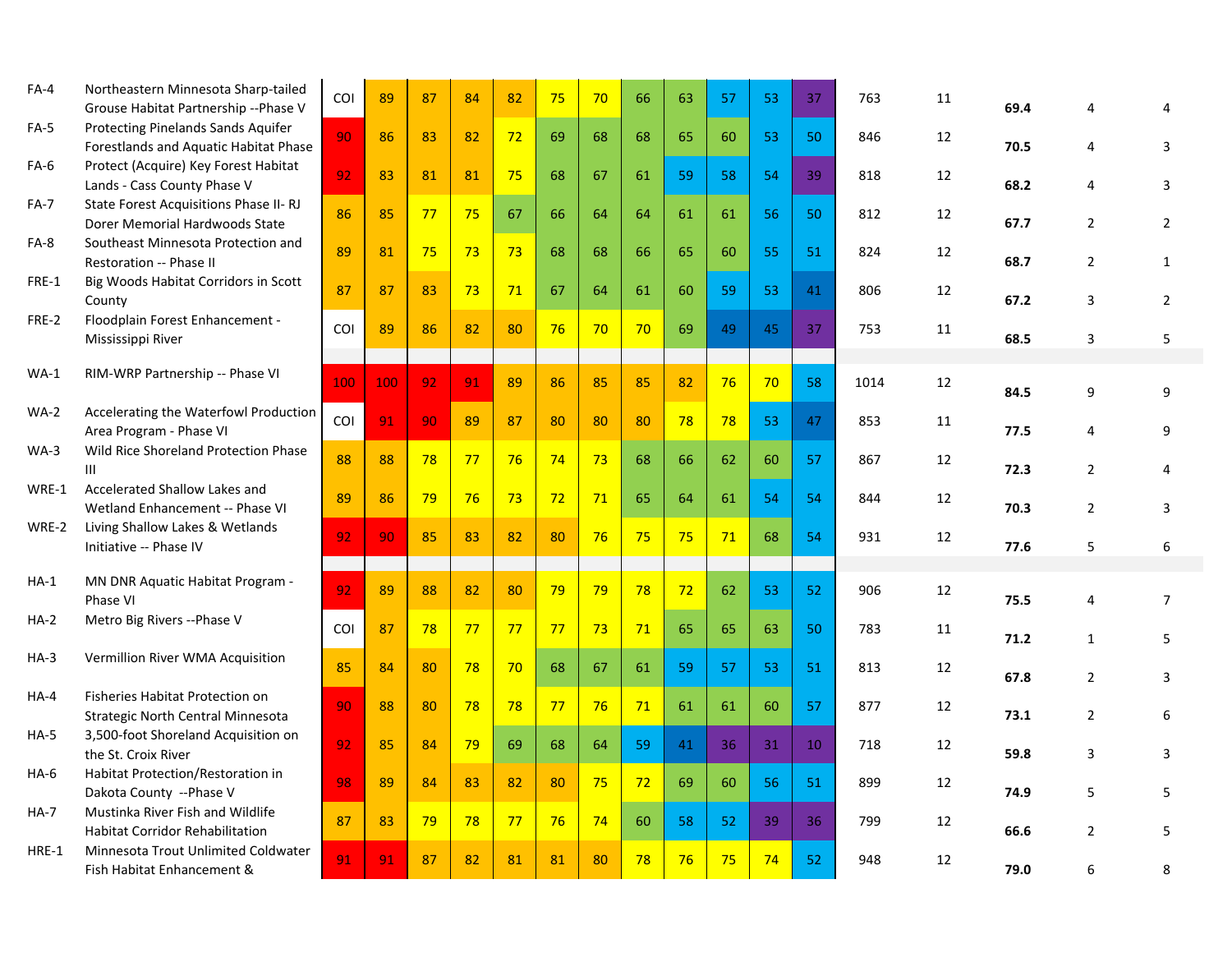| $FA-4$      | Northeastern Minnesota Sharp-tailed<br>Grouse Habitat Partnership --Phase V | <b>COI</b> | 89  | 87 | 84 | 82 | 75 | 70 | 66 | 63 | 57 | 53              | 37              | 763  | 11 | 69.4 | 4              | 4              |
|-------------|-----------------------------------------------------------------------------|------------|-----|----|----|----|----|----|----|----|----|-----------------|-----------------|------|----|------|----------------|----------------|
| $FA-5$      | Protecting Pinelands Sands Aquifer<br>Forestlands and Aquatic Habitat Phase | 90         | 86  | 83 | 82 | 72 | 69 | 68 | 68 | 65 | 60 | 53              | 50              | 846  | 12 | 70.5 | 4              | 3              |
| $FA-6$      | Protect (Acquire) Key Forest Habitat<br>Lands - Cass County Phase V         | 92         | 83  | 81 | 81 | 75 | 68 | 67 | 61 | 59 | 58 | 54              | 39              | 818  | 12 | 68.2 | 4              | 3              |
| FA-7        | State Forest Acquisitions Phase II-RJ<br>Dorer Memorial Hardwoods State     | 86         | 85  | 77 | 75 | 67 | 66 | 64 | 64 | 61 | 61 | 56              | 50              | 812  | 12 | 67.7 | $\overline{2}$ | $\overline{2}$ |
| FA-8        | Southeast Minnesota Protection and<br>Restoration -- Phase II               | 89         | 81  | 75 | 73 | 73 | 68 | 68 | 66 | 65 | 60 | 55              | 51              | 824  | 12 | 68.7 | $\overline{2}$ | $\mathbf{1}$   |
| FRE-1       | Big Woods Habitat Corridors in Scott<br>County                              | 87         | 87  | 83 | 73 | 71 | 67 | 64 | 61 | 60 | 59 | 53              | 41              | 806  | 12 | 67.2 | 3              | $\overline{2}$ |
| FRE-2       | Floodplain Forest Enhancement -<br>Mississippi River                        | COI        | 89  | 86 | 82 | 80 | 76 | 70 | 70 | 69 | 49 | 45              | 37              | 753  | 11 | 68.5 | 3              | 5              |
|             |                                                                             |            |     |    |    |    |    |    |    |    |    |                 |                 |      |    |      |                |                |
| <b>WA-1</b> | RIM-WRP Partnership -- Phase VI                                             | 100        | 100 | 92 | 91 | 89 | 86 | 85 | 85 | 82 | 76 | 70 <sup>°</sup> | 58              | 1014 | 12 | 84.5 | 9              | 9              |
| WA-2        | Accelerating the Waterfowl Production<br>Area Program - Phase VI            | COI        | 91  | 90 | 89 | 87 | 80 | 80 | 80 | 78 | 78 | 53              | 47              | 853  | 11 | 77.5 | 4              | 9              |
| WA-3        | Wild Rice Shoreland Protection Phase<br>Ш                                   | 88         | 88  | 78 | 77 | 76 | 74 | 73 | 68 | 66 | 62 | 60              | 57              | 867  | 12 | 72.3 | 2              | 4              |
| WRE-1       | Accelerated Shallow Lakes and<br>Wetland Enhancement -- Phase VI            | 89         | 86  | 79 | 76 | 73 | 72 | 71 | 65 | 64 | 61 | 54              | 54              | 844  | 12 | 70.3 | $\overline{2}$ | 3              |
| WRE-2       | Living Shallow Lakes & Wetlands<br>Initiative -- Phase IV                   | 92         | 90  | 85 | 83 | 82 | 80 | 76 | 75 | 75 | 71 | 68              | 54              | 931  | 12 | 77.6 | 5              | 6              |
|             |                                                                             |            |     |    |    |    |    |    |    |    |    |                 |                 |      |    |      |                |                |
| $HA-1$      | MN DNR Aquatic Habitat Program -<br>Phase VI                                | 92         | 89  | 88 | 82 | 80 | 79 | 79 | 78 | 72 | 62 | 53              | 52              | 906  | 12 | 75.5 | 4              | $\overline{7}$ |
| <b>HA-2</b> | Metro Big Rivers -- Phase V                                                 | COI        | 87  | 78 | 77 | 77 | 77 | 73 | 71 | 65 | 65 | 63              | 50              | 783  | 11 | 71.2 | $\mathbf{1}$   | 5              |
| $HA-3$      | Vermillion River WMA Acquisition                                            | 85         | 84  | 80 | 78 | 70 | 68 | 67 | 61 | 59 | 57 | 53              | 51              | 813  | 12 | 67.8 | 2              | 3              |
| $HA-4$      | Fisheries Habitat Protection on<br>Strategic North Central Minnesota        | 90         | 88  | 80 | 78 | 78 | 77 | 76 | 71 | 61 | 61 | 60              | 57              | 877  | 12 | 73.1 | 2              | 6              |
| <b>HA-5</b> | 3,500-foot Shoreland Acquisition on<br>the St. Croix River                  | 92         | 85  | 84 | 79 | 69 | 68 | 64 | 59 | 41 | 36 | 31              | 10 <sup>°</sup> | 718  | 12 | 59.8 | 3              | 3              |
| $HA-6$      | Habitat Protection/Restoration in<br>Dakota County -- Phase V               | 98         | 89  | 84 | 83 | 82 | 80 | 75 | 72 | 69 | 60 | 56              | 51              | 899  | 12 | 74.9 | 5              | 5              |
| <b>HA-7</b> | Mustinka River Fish and Wildlife                                            | 87         | 83  | 79 | 78 | 77 | 76 | 74 | 60 | 58 | 52 | 39              | 36              | 799  | 12 |      |                |                |
|             | <b>Habitat Corridor Rehabilitation</b>                                      |            |     |    |    |    |    |    |    |    |    |                 |                 |      |    | 66.6 | 2              | 5              |
| HRE-1       | Minnesota Trout Unlimited Coldwater<br>Fish Habitat Enhancement &           | 91         | 91  | 87 | 82 | 81 | 81 | 80 | 78 | 76 | 75 | 74              | 52              | 948  | 12 | 79.0 | 6              | 8              |